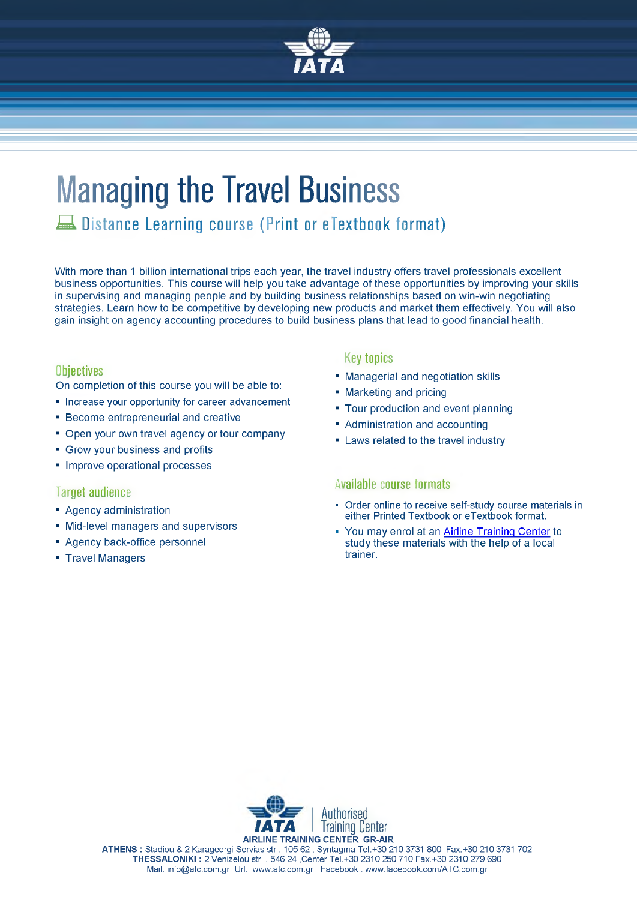

# **Managing the Travel Business**

Λ Distance Learning course (Print or eTextbook format)

With more than 1 billion international trips each year, the travel industry offers travel professionals excellent business opportunities. This course will help you take advantage of these opportunities by improving your skills in supervising and managing people and by building business relationships based on win-win negotiating strategies. Learn how to be competitive by developing new products and market them effectively. You will also gain insight on agency accounting procedures to build business plans that lead to good financial health.

#### **Objectives**

On completion of this course you will be able to:

- Increase your opportunity for career advancement
- Become entrepreneurial and creative
- Open your own travel agency or tour company
- Grow your business and profits
- Improve operational processes

#### **Target audience**

- Agency administration
- Mid-level managers and supervisors
- Agency back-office personnel
- Travel Managers

#### **Key topics**

- Managerial and negotiation skills
- Marketing and pricing
- Tour production and event planning
- Administration and accounting
- Laws related to the travel industry

#### **Available course formats**

- Orde[r online t](http://www.iata.org/training/courses/pages/TTTT.aspx?utm_source=training&utm_medium=product-sheet&utm_campaign=TTTT)o receive self-study course materials in either Printed Textbook or eTextbook format.
- You may enrol at an [Airline Training Center](http://atc.com.gr/en/line-registration) to study these materials with the help of a local trainer.



**ATHENS :** Stadiou & 2 Karageorgi Servias str . 105 62 , Syntagma Tel.+30 210 3731 800 Fax.+30 210 3731 702 **THESSALONIKI :** 2 Venizelou str , 546 24 ,Center Tel.+30 2310 250 710 Fax.+30 2310 279 690 Mail: [info@atc.com.gr](mailto:info@atc.com.gr) Url: [www.atc.com.gr](http://www.atc.com.gr) Facebook : [www.facebook.com/ATC.com.gr](http://www.facebook.com/ATC.com.gr)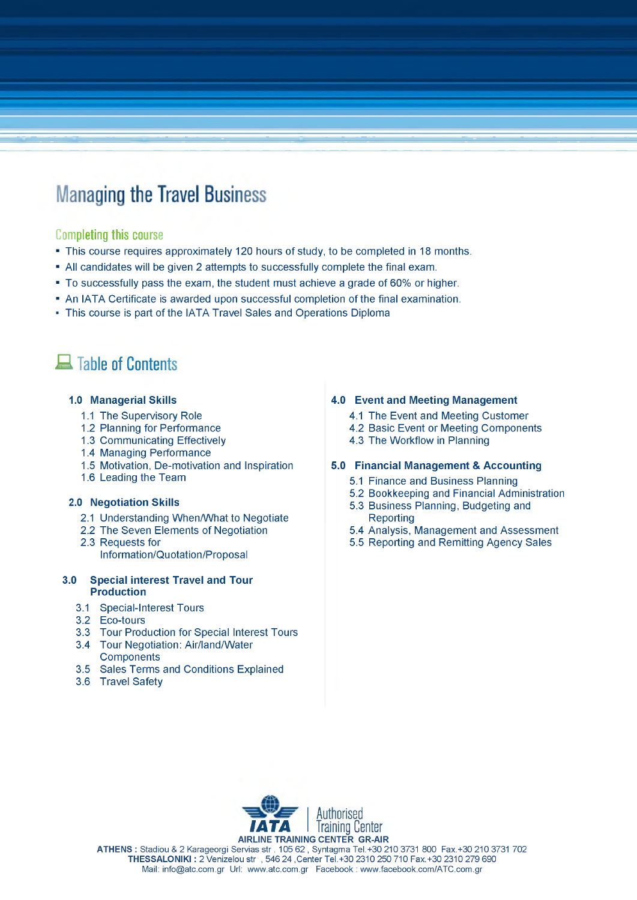## **Managing the Travel Business**

#### **Completing** this course

- This course requires approximately 120 hours of study, to be completed in 18 months.
- All candidates will be given 2 attempts to successfully complete the final exam.
- To successfully pass the exam, the student must achieve a grade of 60% or higher.
- An IATA Certificate is awarded upon successful completion of the final examination.
- This course is part of the IATA Travel Sales and Operations Diploma

### **Example of Contents**

#### **1.0 Managerial Skills**

- 1.1 The Supervisory Role
- 1.2 Planning for Performance
- 1.3 Communicating Effectively
- 1.4 Managing Performance
- 1.5 Motivation, De-motivation and Inspiration
- 1.6 Leading the Team

#### **2.0 Negotiation Skills**

- 2.1 Understanding When/What to Negotiate
- 2.2 The Seven Elements of Negotiation
- 2.3 Requests for Information/Quotation/Proposal

#### **3.0 Special interest Travel and Tour Production**

- 3.1 Special-Interest Tours
- 3.2 Eco-tours
- 3.3 Tour Production for Special Interest Tours
- 3.4 Tour Negotiation: Air/land/Water **Components**
- 3.5 Sales Terms and Conditions Explained
- 3.6 Travel Safety

#### **4.0 Event and Meeting Management**

- 4.1 The Event and Meeting Customer
- 4.2 Basic Event or Meeting Components
- 4.3 The Workflow in Planning

#### **5.0 Financial Management & Accounting**

- 5.1 Finance and Business Planning
- 5.2 Bookkeeping and Financial Administration
- 5.3 Business Planning, Budgeting and **Reporting**
- 5.4 Analysis, Management and Assessment
- 5.5 Reporting and Remitting Agency Sales



**ATHENS :** Stadiou & 2 Karageorgi Servias str . 105 62 , Syntagma Tel.+30 210 3731 800 Fax.+30 210 3731 702 **THESSALONIKI :** 2 Venizelou str , 546 24 ,Center Tel.+30 2310 250 710 Fax.+30 2310 279 690 Mail: [info@atc.com.gr](mailto:info@atc.com.gr) Url: [www.atc.com.gr](http://www.atc.com.gr) Facebook : [www.facebook.com/ATC.com.gr](http://www.facebook.com/ATC.com.gr)